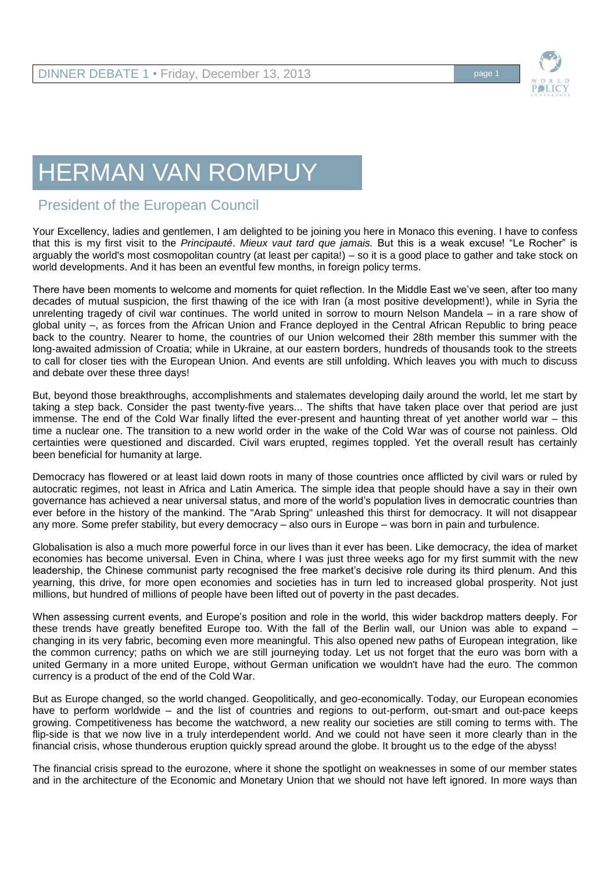## HERMAN VAN ROMPUY

## President of the European Council

Your Excellency, ladies and gentlemen, I am delighted to be joining you here in Monaco this evening. I have to confess that this is my first visit to the *Principauté*. *Mieux vaut tard que jamais.* But this is a weak excuse! "Le Rocher" is arguably the world's most cosmopolitan country (at least per capita!) – so it is a good place to gather and take stock on world developments. And it has been an eventful few months, in foreign policy terms.

There have been moments to welcome and moments for quiet reflection. In the Middle East we've seen, after too many decades of mutual suspicion, the first thawing of the ice with Iran (a most positive development!), while in Syria the unrelenting tragedy of civil war continues. The world united in sorrow to mourn Nelson Mandela – in a rare show of global unity –, as forces from the African Union and France deployed in the Central African Republic to bring peace back to the country. Nearer to home, the countries of our Union welcomed their 28th member this summer with the long-awaited admission of Croatia; while in Ukraine, at our eastern borders, hundreds of thousands took to the streets to call for closer ties with the European Union. And events are still unfolding. Which leaves you with much to discuss and debate over these three days!

But, beyond those breakthroughs, accomplishments and stalemates developing daily around the world, let me start by taking a step back. Consider the past twenty-five years... The shifts that have taken place over that period are just immense. The end of the Cold War finally lifted the ever-present and haunting threat of yet another world war – this time a nuclear one. The transition to a new world order in the wake of the Cold War was of course not painless. Old certainties were questioned and discarded. Civil wars erupted, regimes toppled. Yet the overall result has certainly been beneficial for humanity at large.

Democracy has flowered or at least laid down roots in many of those countries once afflicted by civil wars or ruled by autocratic regimes, not least in Africa and Latin America. The simple idea that people should have a say in their own governance has achieved a near universal status, and more of the world's population lives in democratic countries than ever before in the history of the mankind. The "Arab Spring" unleashed this thirst for democracy. It will not disappear any more. Some prefer stability, but every democracy – also ours in Europe – was born in pain and turbulence.

Globalisation is also a much more powerful force in our lives than it ever has been. Like democracy, the idea of market economies has become universal. Even in China, where I was just three weeks ago for my first summit with the new leadership, the Chinese communist party recognised the free market's decisive role during its third plenum. And this yearning, this drive, for more open economies and societies has in turn led to increased global prosperity. Not just millions, but hundred of millions of people have been lifted out of poverty in the past decades.

When assessing current events, and Europe's position and role in the world, this wider backdrop matters deeply. For these trends have greatly benefited Europe too. With the fall of the Berlin wall, our Union was able to expand – changing in its very fabric, becoming even more meaningful. This also opened new paths of European integration, like the common currency; paths on which we are still journeying today. Let us not forget that the euro was born with a united Germany in a more united Europe, without German unification we wouldn't have had the euro. The common currency is a product of the end of the Cold War.

But as Europe changed, so the world changed. Geopolitically, and geo-economically. Today, our European economies have to perform worldwide – and the list of countries and regions to out-perform, out-smart and out-pace keeps growing. Competitiveness has become the watchword, a new reality our societies are still coming to terms with. The flip-side is that we now live in a truly interdependent world. And we could not have seen it more clearly than in the financial crisis, whose thunderous eruption quickly spread around the globe. It brought us to the edge of the abyss!

The financial crisis spread to the eurozone, where it shone the spotlight on weaknesses in some of our member states and in the architecture of the Economic and Monetary Union that we should not have left ignored. In more ways than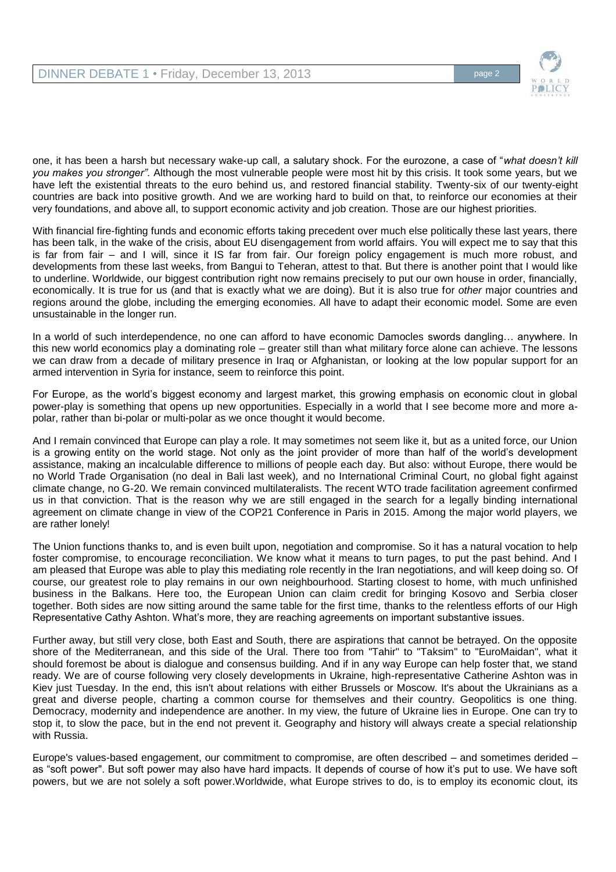

one, it has been a harsh but necessary wake-up call, a salutary shock. For the eurozone, a case of "*what doesn't kill you makes you stronger".* Although the most vulnerable people were most hit by this crisis. It took some years, but we have left the existential threats to the euro behind us, and restored financial stability. Twenty-six of our twenty-eight countries are back into positive growth. And we are working hard to build on that, to reinforce our economies at their very foundations, and above all, to support economic activity and job creation. Those are our highest priorities.

With financial fire-fighting funds and economic efforts taking precedent over much else politically these last years, there has been talk, in the wake of the crisis, about EU disengagement from world affairs. You will expect me to say that this is far from fair – and I will, since it IS far from fair. Our foreign policy engagement is much more robust, and developments from these last weeks, from Bangui to Teheran, attest to that. But there is another point that I would like to underline. Worldwide, our biggest contribution right now remains precisely to put our own house in order, financially, economically. It is true for us (and that is exactly what we are doing). But it is also true for *other* major countries and regions around the globe, including the emerging economies. All have to adapt their economic model. Some are even unsustainable in the longer run.

In a world of such interdependence, no one can afford to have economic Damocles swords dangling… anywhere. In this new world economics play a dominating role – greater still than what military force alone can achieve. The lessons we can draw from a decade of military presence in Iraq or Afghanistan, or looking at the low popular support for an armed intervention in Syria for instance, seem to reinforce this point.

For Europe, as the world's biggest economy and largest market, this growing emphasis on economic clout in global power-play is something that opens up new opportunities. Especially in a world that I see become more and more apolar, rather than bi*-*polar or multi-polar as we once thought it would become.

And I remain convinced that Europe can play a role. It may sometimes not seem like it, but as a united force, our Union is a growing entity on the world stage. Not only as the joint provider of more than half of the world's development assistance, making an incalculable difference to millions of people each day. But also: without Europe, there would be no World Trade Organisation (no deal in Bali last week)*,* and no International Criminal Court, no global fight against climate change, no G-20. We remain convinced multilateralists. The recent WTO trade facilitation agreement confirmed us in that conviction. That is the reason why we are still engaged in the search for a legally binding international agreement on climate change in view of the COP21 Conference in Paris in 2015. Among the major world players, we are rather lonely!

The Union functions thanks to, and is even built upon, negotiation and compromise. So it has a natural vocation to help foster compromise, to encourage reconciliation. We know what it means to turn pages, to put the past behind. And I am pleased that Europe was able to play this mediating role recently in the Iran negotiations, and will keep doing so. Of course, our greatest role to play remains in our own neighbourhood. Starting closest to home, with much unfinished business in the Balkans. Here too, the European Union can claim credit for bringing Kosovo and Serbia closer together. Both sides are now sitting around the same table for the first time*,* thanks to the relentless efforts of our High Representative Cathy Ashton. What's more, they are reaching agreements on important substantive issues.

Further away, but still very close, both East and South, there are aspirations that cannot be betrayed. On the opposite shore of the Mediterranean, and this side of the Ural. There too from "Tahir" to "Taksim" to "EuroMaidan", what it should foremost be about is dialogue and consensus building. And if in any way Europe can help foster that, we stand ready. We are of course following very closely developments in Ukraine, high-representative Catherine Ashton was in Kiev just Tuesday. In the end, this isn't about relations with either Brussels or Moscow. It's about the Ukrainians as a great and diverse people, charting a common course for themselves and their country. Geopolitics is one thing. Democracy, modernity and independence are another. In my view, the future of Ukraine lies in Europe. One can try to stop it, to slow the pace, but in the end not prevent it. Geography and history will always create a special relationship with Russia.

Europe's values-based engagement, our commitment to compromise, are often described – and sometimes derided – as "soft power". But soft power may also have hard impacts. It depends of course of how it's put to use. We have soft powers, but we are not solely a soft power.Worldwide, what Europe strives to do, is to employ its economic clout, its